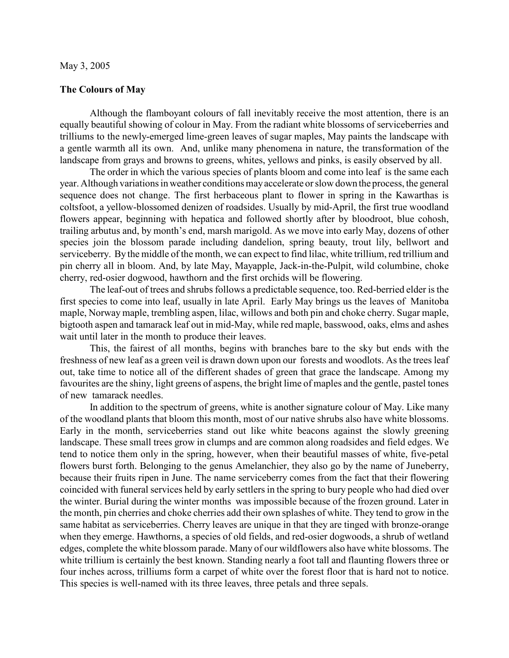## **The Colours of May**

Although the flamboyant colours of fall inevitably receive the most attention, there is an equally beautiful showing of colour in May. From the radiant white blossoms of serviceberries and trilliums to the newly-emerged lime-green leaves of sugar maples, May paints the landscape with a gentle warmth all its own. And, unlike many phenomena in nature, the transformation of the landscape from grays and browns to greens, whites, yellows and pinks, is easily observed by all.

The order in which the various species of plants bloom and come into leaf is the same each year. Although variations in weather conditions may accelerate or slow down the process, the general sequence does not change. The first herbaceous plant to flower in spring in the Kawarthas is coltsfoot, a yellow-blossomed denizen of roadsides. Usually by mid-April, the first true woodland flowers appear, beginning with hepatica and followed shortly after by bloodroot, blue cohosh, trailing arbutus and, by month's end, marsh marigold. As we move into early May, dozens of other species join the blossom parade including dandelion, spring beauty, trout lily, bellwort and serviceberry. By the middle of the month, we can expect to find lilac, white trillium, red trillium and pin cherry all in bloom. And, by late May, Mayapple, Jack-in-the-Pulpit, wild columbine, choke cherry, red-osier dogwood, hawthorn and the first orchids will be flowering.

The leaf-out of trees and shrubs follows a predictable sequence, too. Red-berried elder is the first species to come into leaf, usually in late April. Early May brings us the leaves of Manitoba maple, Norway maple, trembling aspen, lilac, willows and both pin and choke cherry. Sugar maple, bigtooth aspen and tamarack leaf out in mid-May, while red maple, basswood, oaks, elms and ashes wait until later in the month to produce their leaves.

This, the fairest of all months, begins with branches bare to the sky but ends with the freshness of new leaf as a green veil is drawn down upon our forests and woodlots. As the trees leaf out, take time to notice all of the different shades of green that grace the landscape. Among my favourites are the shiny, light greens of aspens, the bright lime of maples and the gentle, pastel tones of new tamarack needles.

In addition to the spectrum of greens, white is another signature colour of May. Like many of the woodland plants that bloom this month, most of our native shrubs also have white blossoms. Early in the month, serviceberries stand out like white beacons against the slowly greening landscape. These small trees grow in clumps and are common along roadsides and field edges. We tend to notice them only in the spring, however, when their beautiful masses of white, five-petal flowers burst forth. Belonging to the genus Amelanchier, they also go by the name of Juneberry, because their fruits ripen in June. The name serviceberry comes from the fact that their flowering coincided with funeral services held by early settlers in the spring to bury people who had died over the winter. Burial during the winter months was impossible because of the frozen ground. Later in the month, pin cherries and choke cherries add their own splashes of white. They tend to grow in the same habitat as serviceberries. Cherry leaves are unique in that they are tinged with bronze-orange when they emerge. Hawthorns, a species of old fields, and red-osier dogwoods, a shrub of wetland edges, complete the white blossom parade. Many of our wildflowers also have white blossoms. The white trillium is certainly the best known. Standing nearly a foot tall and flaunting flowers three or four inches across, trilliums form a carpet of white over the forest floor that is hard not to notice. This species is well-named with its three leaves, three petals and three sepals.